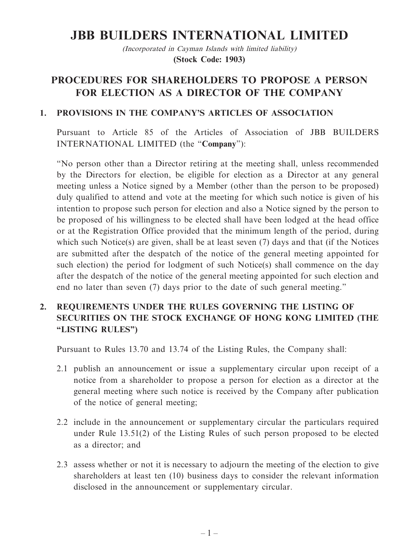# **JBB BUILDERS INTERNATIONAL LIMITED**

(Incorporated in Cayman Islands with limited liability) **(Stock Code: 1903)**

# **PROCEDURES FOR SHAREHOLDERS TO PROPOSE A PERSON FOR ELECTION AS A DIRECTOR OF THE COMPANY**

#### **1. PROVISIONS IN THE COMPANY'S ARTICLES OF ASSOCIATION**

Pursuant to Article 85 of the Articles of Association of JBB BUILDERS INTERNATIONAL LIMITED (the "**Company**"):

"No person other than a Director retiring at the meeting shall, unless recommended by the Directors for election, be eligible for election as a Director at any general meeting unless a Notice signed by a Member (other than the person to be proposed) duly qualified to attend and vote at the meeting for which such notice is given of his intention to propose such person for election and also a Notice signed by the person to be proposed of his willingness to be elected shall have been lodged at the head office or at the Registration Office provided that the minimum length of the period, during which such Notice(s) are given, shall be at least seven (7) days and that (if the Notices are submitted after the despatch of the notice of the general meeting appointed for such election) the period for lodgment of such Notice(s) shall commence on the day after the despatch of the notice of the general meeting appointed for such election and end no later than seven (7) days prior to the date of such general meeting."

## **2. REQUIREMENTS UNDER THE RULES GOVERNING THE LISTING OF SECURITIES ON THE STOCK EXCHANGE OF HONG KONG LIMITED (THE "LISTING RULES")**

Pursuant to Rules 13.70 and 13.74 of the Listing Rules, the Company shall:

- 2.1 publish an announcement or issue a supplementary circular upon receipt of a notice from a shareholder to propose a person for election as a director at the general meeting where such notice is received by the Company after publication of the notice of general meeting;
- 2.2 include in the announcement or supplementary circular the particulars required under Rule 13.51(2) of the Listing Rules of such person proposed to be elected as a director; and
- 2.3 assess whether or not it is necessary to adjourn the meeting of the election to give shareholders at least ten (10) business days to consider the relevant information disclosed in the announcement or supplementary circular.